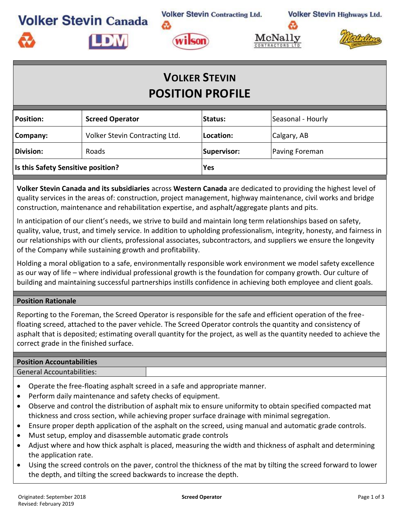**Volker Stevin Contracting Ltd.** 

**Volker Stevin Highways Ltd.** 





# **VOLKER STEVIN POSITION PROFILE**

| <b>Position:</b>                   | <b>Screed Operator</b>         | Status:     | Seasonal - Hourly |  |
|------------------------------------|--------------------------------|-------------|-------------------|--|
| Company:                           | Volker Stevin Contracting Ltd. | Location:   | Calgary, AB       |  |
| <b>Division:</b>                   | <b>Roads</b>                   | Supervisor: | Paving Foreman    |  |
| Is this Safety Sensitive position? |                                | Yes         |                   |  |
|                                    |                                |             |                   |  |

**Volker Stevin Canada and its subsidiaries** across **Western Canada** are dedicated to providing the highest level of quality services in the areas of: construction, project management, highway maintenance, civil works and bridge construction, maintenance and rehabilitation expertise, and asphalt/aggregate plants and pits.

In anticipation of our client's needs, we strive to build and maintain long term relationships based on safety, quality, value, trust, and timely service. In addition to upholding professionalism, integrity, honesty, and fairness in our relationships with our clients, professional associates, subcontractors, and suppliers we ensure the longevity of the Company while sustaining growth and profitability.

Holding a moral obligation to a safe, environmentally responsible work environment we model safety excellence as our way of life – where individual professional growth is the foundation for company growth. Our culture of building and maintaining successful partnerships instills confidence in achieving both employee and client goals.

# **Position Rationale**

**Volker Stevin Canada** 

**LDIV** 

Reporting to the Foreman, the Screed Operator is responsible for the safe and efficient operation of the freefloating screed, attached to the paver vehicle. The Screed Operator controls the quantity and consistency of asphalt that is deposited; estimating overall quantity for the project, as well as the quantity needed to achieve the correct grade in the finished surface.

### **Position Accountabilities**

General Accountabilities:

- Operate the free-floating asphalt screed in a safe and appropriate manner.
- Perform daily maintenance and safety checks of equipment.
- Observe and control the distribution of asphalt mix to ensure uniformity to obtain specified compacted mat thickness and cross section, while achieving proper surface drainage with minimal segregation.
- Ensure proper depth application of the asphalt on the screed, using manual and automatic grade controls.
- Must setup, employ and disassemble automatic grade controls
- Adjust where and how thick asphalt is placed, measuring the width and thickness of asphalt and determining the application rate.
- Using the screed controls on the paver, control the thickness of the mat by tilting the screed forward to lower the depth, and tilting the screed backwards to increase the depth.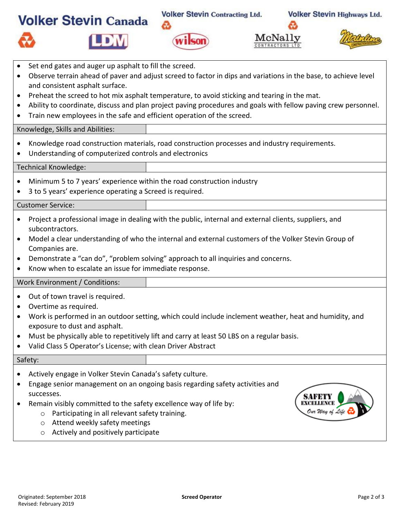|                                                                                                                                                                                                              |  | <b>Volker Stevin Canada</b> | <b>Volker Stevin Contracting Ltd.</b><br>෬<br>ilcon | McNally |  | <b>Volker Stevin Highways Ltd.</b> |  |  |  |
|--------------------------------------------------------------------------------------------------------------------------------------------------------------------------------------------------------------|--|-----------------------------|-----------------------------------------------------|---------|--|------------------------------------|--|--|--|
| Set end gates and auger up asphalt to fill the screed.<br>Observe terrain ahead of paver and adjust screed to factor in dips and variations in the base, to achieve level<br>and consistent asphalt surface. |  |                             |                                                     |         |  |                                    |  |  |  |

- Preheat the screed to hot mix asphalt temperature, to avoid sticking and tearing in the mat.
- Ability to coordinate, discuss and plan project paving procedures and goals with fellow paving crew personnel.
- Train new employees in the safe and efficient operation of the screed.

# Knowledge, Skills and Abilities:

- Knowledge road construction materials, road construction processes and industry requirements.
- Understanding of computerized controls and electronics

#### Technical Knowledge:

- Minimum 5 to 7 years' experience within the road construction industry
- 3 to 5 years' experience operating a Screed is required.

#### Customer Service:

- Project a professional image in dealing with the public, internal and external clients, suppliers, and subcontractors.
- Model a clear understanding of who the internal and external customers of the Volker Stevin Group of Companies are.
- Demonstrate a "can do", "problem solving" approach to all inquiries and concerns.
- Know when to escalate an issue for immediate response.

#### Work Environment / Conditions:

- Out of town travel is required.
- Overtime as required.
- Work is performed in an outdoor setting, which could include inclement weather, heat and humidity, and exposure to dust and asphalt.
- Must be physically able to repetitively lift and carry at least 50 LBS on a regular basis.
- Valid Class 5 Operator's License; with clean Driver Abstract

# Safety:

- Actively engage in Volker Stevin Canada's safety culture.
- Engage senior management on an ongoing basis regarding safety activities and successes.
- Remain visibly committed to the safety excellence way of life by:
	- o Participating in all relevant safety training.
	- o Attend weekly safety meetings
	- o Actively and positively participate

SAFET

Our Way of Life